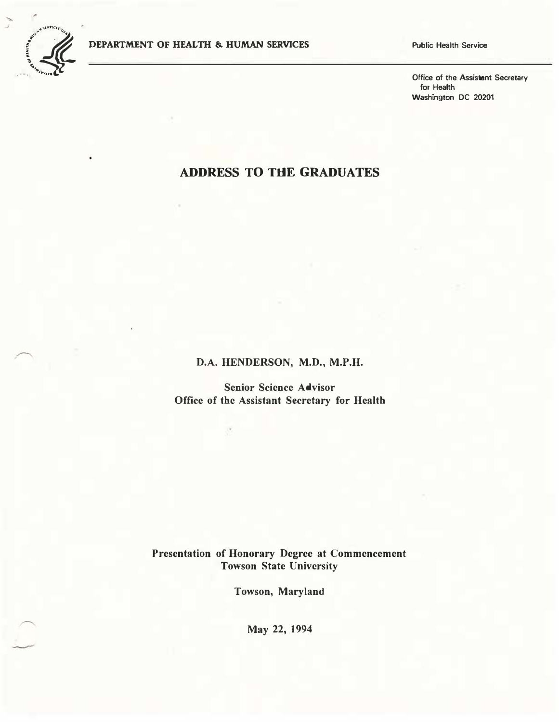

Public Health Service

Office of the Assistant Secretary for Health Washington DC 20201

## ADDRESS TO THE GRADUATES

D�A. HENDERSON, M.D., M.P.H.

Senior Science Advisor Office of the Assistant Secretary for Health

Presentation of Honorary Degree at Commencement Towson State University

Towson, Maryland

May 22, 1994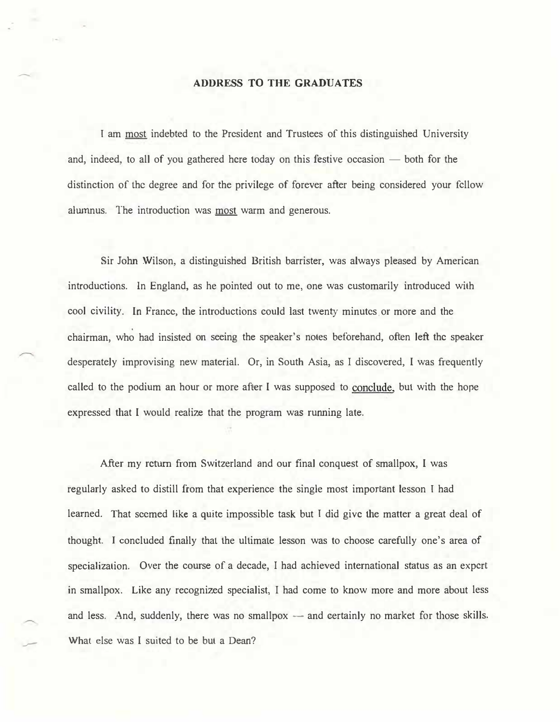## ADDRESS TO THE GRADUATES

I am most indebted to the President and Trustees of this distinguished University and, indeed, to all of you gathered here today on this festive occasion  $-$  both for the distinction of the degree and for the privilege of forever after being considered your fellow alumnus. The introduction was most warm and generous.

Sir John Wilson, a distinguished British barrister, was always pleased by American introductions. In England, as be pointed out to me, one was customarily introduced with cool civility. In France, the introductions could last twenty minutes or more and the chairman, who had insisted on seeing the speaker's notes beforehand, often left the speaker desperately improvising new material. Or, in South Asia, as I discovered, I was frequently called to the podium an hour or more after I was supposed to conclude, but with the hope expressed that I would realize that the program was running late.

After my return from Switzerland and our final conquest of smallpox, I was regularly asked to distill from that experience the single most important lesson I had learned. That seemed like a quite impossible task but I did give the matter a great deal of thought. I concluded finally that the ultimate lesson was to choose carefully one's area of specialization. Over the course of a decade, I had achieved international status as an expert in smallpox. Like any recognized specialist, I had come to know more and more about less and less. And, suddenly, there was no smallpox  $-$  and certainly no market for those skills. What else was I suited to be but a Dean?

--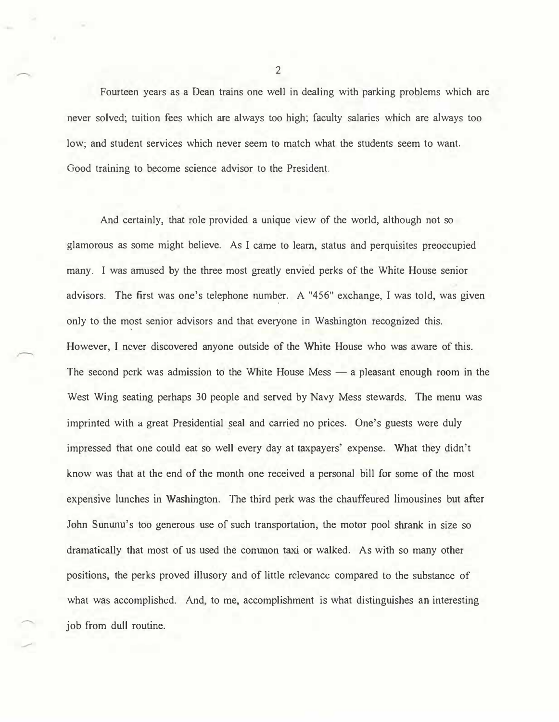Fourteen years as a Dean trains one well in dealing with parking problems which are never solved; tuition fees which are always too high; faculty salaries which are always too low; and student services which never seem to match what the students seem to want. Good training to become science advisor to the President.

And certainly, that role provided a unique view of the world, although not so glamorous as some might believe. As I came to learn, status and perquisites preoccupied many. I was amused by the three most greatly envied perks of the White House senior advisors. The first was one's telephone number. A "456" exchange, I was told, was given only to the most senior advisors and that everyone in Washington recognized this. However, I never discovered anyone outside of the White House who was aware of this. The second perk was admission to the White House Mess  $\frac{1}{x}$  a pleasant enough room in the West Wing seating perhaps 30 people and served by Navy Mess stewards. The menu was imprinted with a great Presidential seal and carried no prices. One's guests were duly impressed that one could eat so well every day at taxpayers' expense. What they didn't know was that at the end of the month one received a personal bill for some of the most expensive lunches in Washington. The third perk was the chauffeured limousines but after John Sununu's too generous use of such transportation, the motor pool shrank in size so dramatically that most of us used the conunon taxi or walked. As with so many other positions, the perks proved illusory and of little relevance compared to the substance of what was accomplished. And, to me, accomplishment is what distinguishes an interesting job from dull routine.

-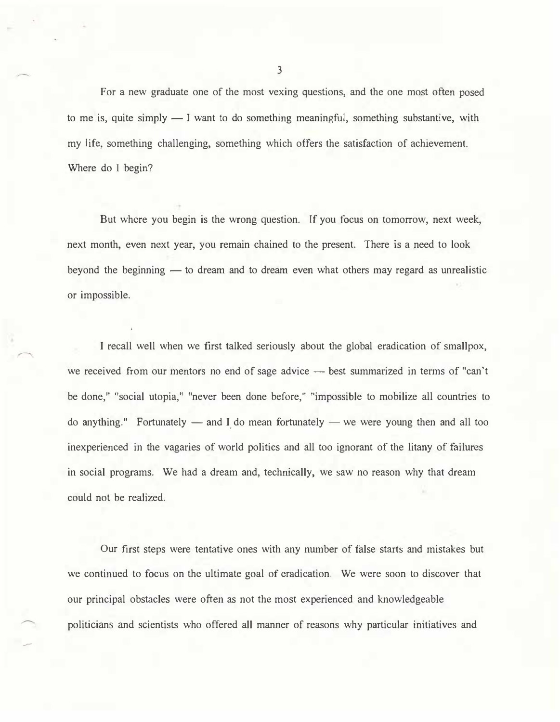For a new graduate one of the most vexing questions, and the one most often posed to me is, quite simply  $-1$  want to do something meaningful, something substantive, with my life, something challenging, something which offers the satisfaction of achievement. Where do I begin?

But where you begin is the wrong question. If you focus on tomorrow, next week, next month, even next year, you remain chained to the present. There is a need to look beyond the beginning  $-$  to dream and to dream even what others may regard as unrealistic or impossible.

I recall well when we first talked seriously about the global eradication of smallpox, we received from our mentors no end of sage advice - best summarized in terms of "can't be done," "social utopia," "never been done before," "impossible to mobilize all countries to do anything." Fortunately  $-$  and I do mean fortunately  $-$  we were young then and all too inexperienced in the vagaries of world politics and all too ignorant of the litany of failures in social programs. We had a dream and, technically, we saw no reason why that dream could not be realized.

Our first steps were tentative ones with any number of false starts and mistakes but we continued to focus on the ultimate goal of eradication. We were soon to discover that our principal obstacles were often as not the most experienced and knowledgeable politicians and scientists who offered all manner of reasons why particular initiatives and

-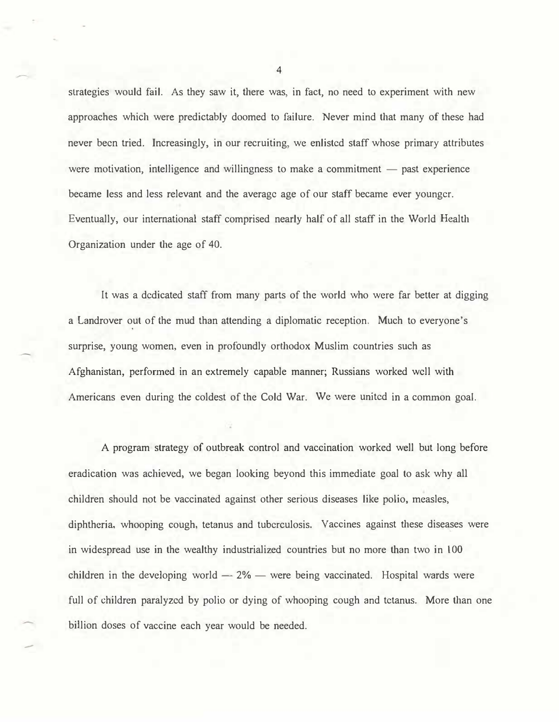strategies would fail. As they saw it, there was, in fact, no need to experiment with new approaches which were predictably doomed to failure. Never mind that many of these had never been tried. Increasingly, in our recruiting, we enlisted staff whose primary attributes were motivation, intelligence and willingness to make a commitment  $-$  past experience became less and less relevant and the average age of our staff became ever younger. Eventually, our international staff comprised nearly half of all staff in the World Health Organization under the age of 40.

It was a dedicated staff from many parts of the world who were far better at digging a Landrover out of the mud than attending a diplomatic reception. Much to everyone's surprise, young women, even in profoundly orthodox Muslim countries such as Afghanistan, performed in an extremely capable manner; Russians worked well with Americans even during the coldest of the Cold War. We were united in a common goal.

A program strategy of outbreak control and vaccination worked well but long before eradication was achieved, we began looking beyond this immediate goal to ask why all children should not be vaccinated against other serious diseases like polio, measles, diphtheria, whooping cough, tetanus and tuberculosis. Vaccines against these diseases were in widespread use in the wealthy industrialized countries but no more than two in 100 children in the developing world  $-2\%$  — were being vaccinated. Hospital wards were full of children paralyzed by polio or dying of whooping cough and tetanus. More than one billion doses of vaccine each year would be needed.

--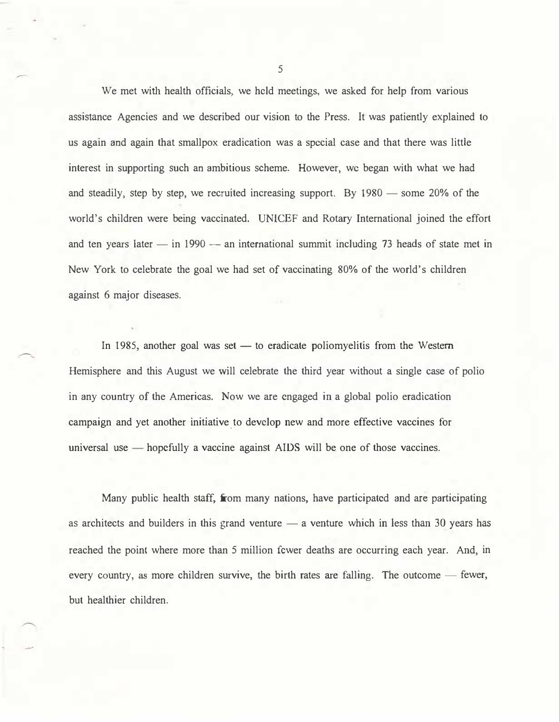We met with health officials, we held meetings, we asked for help from various assistance Agencies and we described our vision to the Press. It was patiently explained to us again and again that smallpox eradication was a special case and that there was little interest in supporting such an ambitious scheme. However, we began with what we had and steadily, step by step, we recruited increasing support. By 1980 - some 20% of the world's children were being vaccinated. UNICEF and Rotary International joined the effort and ten years later  $-$  in 1990  $-$  an international summit including 73 heads of state met in New York to celebrate the goal we had set of vaccinating 80% of the world's children against 6 major diseases.

In 1985, another goal was set  $-$  to eradicate poliomyelitis from the Western Hemisphere and this August we will celebrate the third year without a single case of polio in any country of the Americas. Now we are engaged in a global polio eradication campaign and yet another initiative. to develop new and more effective vaccines for universal use  $-$  hopefully a vaccine against AIDS will be one of those vaccines.

Many public health staff, from many nations, have participated and are participating as architects and builders in this grand venture  $-$  a venture which in less than 30 years has reached the point where more than 5 million fewer deaths are occurring each year. And, in every country, as more children survive, the birth rates are falling. The outcome  $-$  fewer, but healthier children.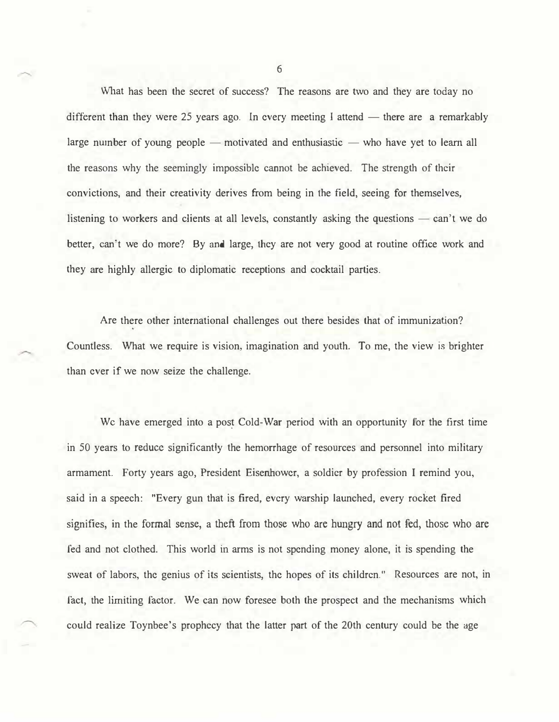What has been the secret of success? The reasons are two and they are today no different than they were 25 years ago. In every meeting I attend — there are a remarkably large number of young people — motivated and enthusiastic — who have yet to learn all the reasons why the seemingly impossible cannot be achieved. The strength of their convictions, and their creativity derives from being in the field, seeing for themselves, listening to workers and clients at all levels, constantly asking the questions  $\sim$  can't we do better, can't we do more? By and large, they are not very good at routine office work and they are highly allergic to diplomatic receptions and cocktail parties.

Are there other international challenges out there besides that of immunization? Countless. What we require is vision, imagination and youth. To me, the view is brighter than ever if we now seize the challenge.

We have emerged into a post Cold-War period with an opportunity for the first time in 50 years to reduce significantly the hemorrhage of resources and personnel into military armament. Forty years ago, President Eisenhower, a soldier by profession I remind you, said in a speech: "Every gun that is fired, every warship launched, every rocket fired signifies, in the formal sense, a theft from those who are hungry and not fed, those who are fed and not clothed. This world in arms is not spending money alone, it is spending the sweat of labors, the genius of its scientists, the hopes of its children." Resources are not, in fact, the limiting factor. We can now foresee both the prospect and the mechanisms which could realize Toynbee's prophecy that the latter part of the 20th century could be the age